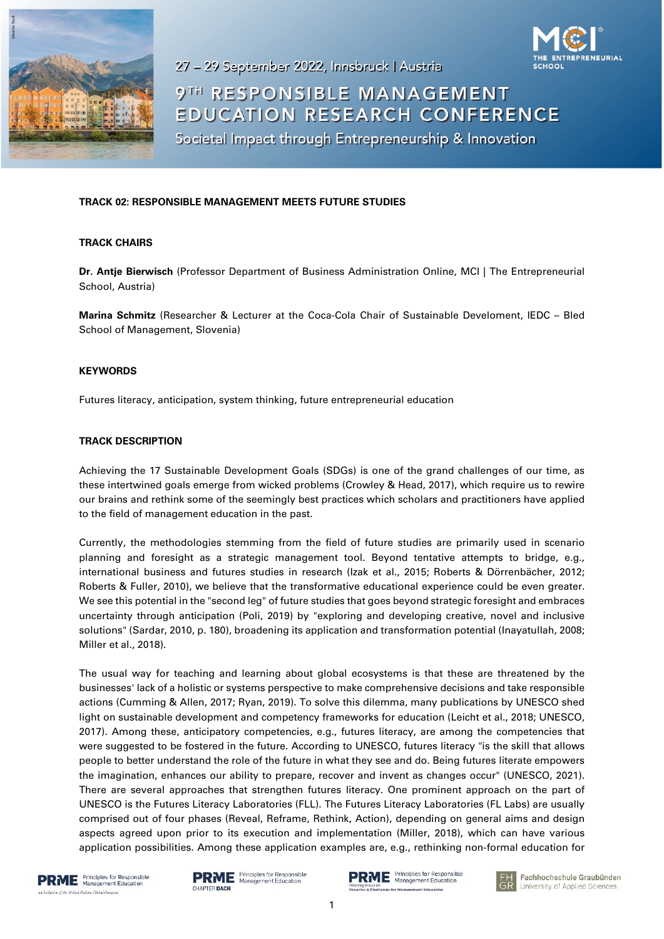



# 9TH RESPONSIBLE MANAGEMENT **EDUCATION RESEARCH CONFERENCE**

Societal Impact through Entrepreneurship & Innovation

# **TRACK 02: RESPONSIBLE MANAGEMENT MEETS FUTURE STUDIES**

## **TRACK CHAIRS**

**Dr. Antje Bierwisch** (Professor Department of Business Administration Online, MCI | The Entrepreneurial School, Austria)

**Marina Schmitz** (Researcher & Lecturer at the Coca-Cola Chair of Sustainable Develoment, IEDC – Bled School of Management, Slovenia)

#### **KEYWORDS**

Futures literacy, anticipation, system thinking, future entrepreneurial education

## **TRACK DESCRIPTION**

Achieving the 17 Sustainable Development Goals (SDGs) is one of the grand challenges of our time, as these intertwined goals emerge from wicked problems (Crowley & Head, 2017), which require us to rewire our brains and rethink some of the seemingly best practices which scholars and practitioners have applied to the field of management education in the past.

Currently, the methodologies stemming from the field of future studies are primarily used in scenario planning and foresight as a strategic management tool. Beyond tentative attempts to bridge, e.g., international business and futures studies in research (Izak et al., 2015; Roberts & Dörrenbächer, 2012; Roberts & Fuller, 2010), we believe that the transformative educational experience could be even greater. We see this potential in the "second leg" of future studies that goes beyond strategic foresight and embraces uncertainty through anticipation (Poli, 2019) by "exploring and developing creative, novel and inclusive solutions" (Sardar, 2010, p. 180), broadening its application and transformation potential (Inayatullah, 2008; Miller et al., 2018).

The usual way for teaching and learning about global ecosystems is that these are threatened by the businesses' lack of a holistic or systems perspective to make comprehensive decisions and take responsible actions (Cumming & Allen, 2017; Ryan, 2019). To solve this dilemma, many publications by UNESCO shed light on sustainable development and competency frameworks for education (Leicht et al., 2018; UNESCO, 2017). Among these, anticipatory competencies, e.g., futures literacy, are among the competencies that were suggested to be fostered in the future. According to UNESCO, futures literacy "is the skill that allows people to better understand the role of the future in what they see and do. Being futures literate empowers the imagination, enhances our ability to prepare, recover and invent as changes occur" (UNESCO, 2021). There are several approaches that strengthen futures literacy. One prominent approach on the part of UNESCO is the Futures Literacy Laboratories (FLL). The Futures Literacy Laboratories (FL Labs) are usually comprised out of four phases (Reveal, Reframe, Rethink, Action), depending on general aims and design aspects agreed upon prior to its execution and implementation (Miller, 2018), which can have various application possibilities. Among these application examples are, e.g., rethinking non-formal education for





**RME** Principles for Responsible toe for Manag

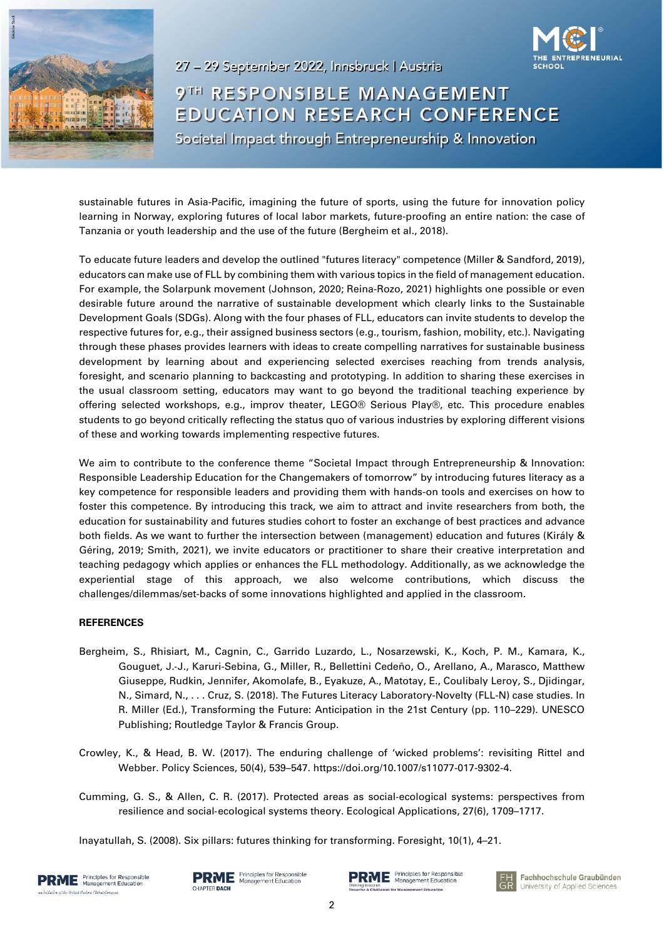



9TH RESPONSIBLE MANAGEMENT EDUCATION RESEARCH CONFERENCE Societal Impact through Entrepreneurship & Innovation

sustainable futures in Asia-Pacific, imagining the future of sports, using the future for innovation policy learning in Norway, exploring futures of local labor markets, future-proofing an entire nation: the case of Tanzania or youth leadership and the use of the future (Bergheim et al., 2018).

To educate future leaders and develop the outlined "futures literacy" competence (Miller & Sandford, 2019), educators can make use of FLL by combining them with various topics in the field of management education. For example, the Solarpunk movement (Johnson, 2020; Reina-Rozo, 2021) highlights one possible or even desirable future around the narrative of sustainable development which clearly links to the Sustainable Development Goals (SDGs). Along with the four phases of FLL, educators can invite students to develop the respective futures for, e.g., their assigned business sectors (e.g., tourism, fashion, mobility, etc.). Navigating through these phases provides learners with ideas to create compelling narratives for sustainable business development by learning about and experiencing selected exercises reaching from trends analysis, foresight, and scenario planning to backcasting and prototyping. In addition to sharing these exercises in the usual classroom setting, educators may want to go beyond the traditional teaching experience by offering selected workshops, e.g., improv theater, LEGO® Serious Play®, etc. This procedure enables students to go beyond critically reflecting the status quo of various industries by exploring different visions of these and working towards implementing respective futures.

We aim to contribute to the conference theme "Societal Impact through Entrepreneurship & Innovation: Responsible Leadership Education for the Changemakers of tomorrow" by introducing futures literacy as a key competence for responsible leaders and providing them with hands-on tools and exercises on how to foster this competence. By introducing this track, we aim to attract and invite researchers from both, the education for sustainability and futures studies cohort to foster an exchange of best practices and advance both fields. As we want to further the intersection between (management) education and futures (Király & Géring, 2019; Smith, 2021), we invite educators or practitioner to share their creative interpretation and teaching pedagogy which applies or enhances the FLL methodology. Additionally, as we acknowledge the experiential stage of this approach, we also welcome contributions, which discuss the challenges/dilemmas/set-backs of some innovations highlighted and applied in the classroom.

#### **REFERENCES**

- Bergheim, S., Rhisiart, M., Cagnin, C., Garrido Luzardo, L., Nosarzewski, K., Koch, P. M., Kamara, K., Gouguet, J.‑J., Karuri-Sebina, G., Miller, R., Bellettini Cedeño, O., Arellano, A., Marasco, Matthew Giuseppe, Rudkin, Jennifer, Akomolafe, B., Eyakuze, A., Matotay, E., Coulibaly Leroy, S., Djidingar, N., Simard, N., . . . Cruz, S. (2018). The Futures Literacy Laboratory-Novelty (FLL-N) case studies. In R. Miller (Ed.), Transforming the Future: Anticipation in the 21st Century (pp. 110–229). UNESCO Publishing; Routledge Taylor & Francis Group.
- Crowley, K., & Head, B. W. (2017). The enduring challenge of 'wicked problems': revisiting Rittel and Webber. Policy Sciences, 50(4), 539–547. https://doi.org/10.1007/s11077-017-9302-4.
- Cumming, G. S., & Allen, C. R. (2017). Protected areas as social‑ecological systems: perspectives from resilience and social‑ecological systems theory. Ecological Applications, 27(6), 1709–1717.

Inayatullah, S. (2008). Six pillars: futures thinking for transforming. Foresight, 10(1), 4–21.



**PRME** Principles for Responsible CHAPTER DACH

 $\mathbf{R}\mathbf{M}\mathbf{E}$  Principles for Responsible<br> $\mathbf{S}$  and  $\mathbf{S}$  Management Education se for Manag

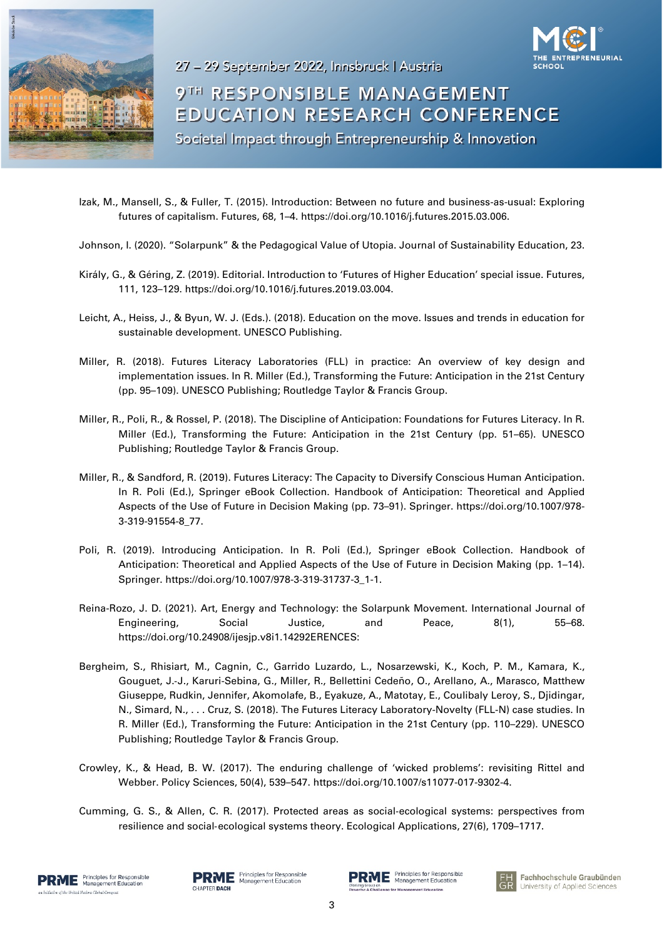



9TH RESPONSIBLE MANAGEMENT **EDUCATION RESEARCH CONFERENCE** Societal Impact through Entrepreneurship & Innovation

- Izak, M., Mansell, S., & Fuller, T. (2015). Introduction: Between no future and business-as-usual: Exploring futures of capitalism. Futures, 68, 1–4. https://doi.org/10.1016/j.futures.2015.03.006.
- Johnson, I. (2020). "Solarpunk" & the Pedagogical Value of Utopia. Journal of Sustainability Education, 23.
- Király, G., & Géring, Z. (2019). Editorial. Introduction to 'Futures of Higher Education' special issue. Futures, 111, 123–129. https://doi.org/10.1016/j.futures.2019.03.004.
- Leicht, A., Heiss, J., & Byun, W. J. (Eds.). (2018). Education on the move. Issues and trends in education for sustainable development. UNESCO Publishing.
- Miller, R. (2018). Futures Literacy Laboratories (FLL) in practice: An overview of key design and implementation issues. In R. Miller (Ed.), Transforming the Future: Anticipation in the 21st Century (pp. 95–109). UNESCO Publishing; Routledge Taylor & Francis Group.
- Miller, R., Poli, R., & Rossel, P. (2018). The Discipline of Anticipation: Foundations for Futures Literacy. In R. Miller (Ed.), Transforming the Future: Anticipation in the 21st Century (pp. 51–65). UNESCO Publishing; Routledge Taylor & Francis Group.
- Miller, R., & Sandford, R. (2019). Futures Literacy: The Capacity to Diversify Conscious Human Anticipation. In R. Poli (Ed.), Springer eBook Collection. Handbook of Anticipation: Theoretical and Applied Aspects of the Use of Future in Decision Making (pp. 73–91). Springer. https://doi.org/10.1007/978- 3-319-91554-8\_77.
- Poli, R. (2019). Introducing Anticipation. In R. Poli (Ed.), Springer eBook Collection. Handbook of Anticipation: Theoretical and Applied Aspects of the Use of Future in Decision Making (pp. 1–14). Springer. https://doi.org/10.1007/978-3-319-31737-3\_1-1.
- Reina-Rozo, J. D. (2021). Art, Energy and Technology: the Solarpunk Movement. International Journal of Engineering, Social Justice, and Peace, 8(1), 55–68. https://doi.org/10.24908/ijesjp.v8i1.14292ERENCES:
- Bergheim, S., Rhisiart, M., Cagnin, C., Garrido Luzardo, L., Nosarzewski, K., Koch, P. M., Kamara, K., Gouguet, J.‑J., Karuri-Sebina, G., Miller, R., Bellettini Cedeño, O., Arellano, A., Marasco, Matthew Giuseppe, Rudkin, Jennifer, Akomolafe, B., Eyakuze, A., Matotay, E., Coulibaly Leroy, S., Djidingar, N., Simard, N., . . . Cruz, S. (2018). The Futures Literacy Laboratory-Novelty (FLL-N) case studies. In R. Miller (Ed.), Transforming the Future: Anticipation in the 21st Century (pp. 110–229). UNESCO Publishing; Routledge Taylor & Francis Group.
- Crowley, K., & Head, B. W. (2017). The enduring challenge of 'wicked problems': revisiting Rittel and Webber. Policy Sciences, 50(4), 539–547. https://doi.org/10.1007/s11077-017-9302-4.
- Cumming, G. S., & Allen, C. R. (2017). Protected areas as social‑ecological systems: perspectives from resilience and social-ecological systems theory. Ecological Applications, 27(6), 1709–1717.



**PRME** Principles for Responsit Principles for Responsible CHAPTER DACH



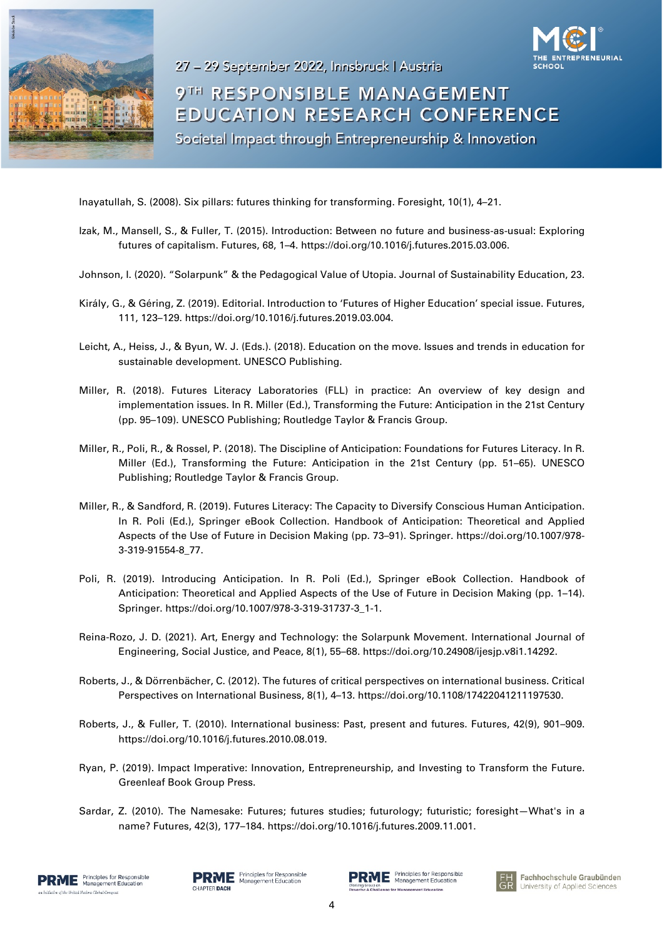



9TH RESPONSIBLE MANAGEMENT **EDUCATION RESEARCH CONFERENCE** Societal Impact through Entrepreneurship & Innovation

Inayatullah, S. (2008). Six pillars: futures thinking for transforming. Foresight, 10(1), 4–21.

- Izak, M., Mansell, S., & Fuller, T. (2015). Introduction: Between no future and business-as-usual: Exploring futures of capitalism. Futures, 68, 1–4. https://doi.org/10.1016/j.futures.2015.03.006.
- Johnson, I. (2020). "Solarpunk" & the Pedagogical Value of Utopia. Journal of Sustainability Education, 23.
- Király, G., & Géring, Z. (2019). Editorial. Introduction to 'Futures of Higher Education' special issue. Futures, 111, 123–129. https://doi.org/10.1016/j.futures.2019.03.004.
- Leicht, A., Heiss, J., & Byun, W. J. (Eds.). (2018). Education on the move. Issues and trends in education for sustainable development. UNESCO Publishing.
- Miller, R. (2018). Futures Literacy Laboratories (FLL) in practice: An overview of key design and implementation issues. In R. Miller (Ed.), Transforming the Future: Anticipation in the 21st Century (pp. 95–109). UNESCO Publishing; Routledge Taylor & Francis Group.
- Miller, R., Poli, R., & Rossel, P. (2018). The Discipline of Anticipation: Foundations for Futures Literacy. In R. Miller (Ed.), Transforming the Future: Anticipation in the 21st Century (pp. 51–65). UNESCO Publishing; Routledge Taylor & Francis Group.
- Miller, R., & Sandford, R. (2019). Futures Literacy: The Capacity to Diversify Conscious Human Anticipation. In R. Poli (Ed.), Springer eBook Collection. Handbook of Anticipation: Theoretical and Applied Aspects of the Use of Future in Decision Making (pp. 73–91). Springer. https://doi.org/10.1007/978- 3-319-91554-8\_77.
- Poli, R. (2019). Introducing Anticipation. In R. Poli (Ed.), Springer eBook Collection. Handbook of Anticipation: Theoretical and Applied Aspects of the Use of Future in Decision Making (pp. 1–14). Springer. https://doi.org/10.1007/978-3-319-31737-3\_1-1.
- Reina-Rozo, J. D. (2021). Art, Energy and Technology: the Solarpunk Movement. International Journal of Engineering, Social Justice, and Peace, 8(1), 55–68. https://doi.org/10.24908/ijesjp.v8i1.14292.
- Roberts, J., & Dörrenbächer, C. (2012). The futures of critical perspectives on international business. Critical Perspectives on International Business, 8(1), 4–13. https://doi.org/10.1108/17422041211197530.
- Roberts, J., & Fuller, T. (2010). International business: Past, present and futures. Futures, 42(9), 901–909. https://doi.org/10.1016/j.futures.2010.08.019.
- Ryan, P. (2019). Impact Imperative: Innovation, Entrepreneurship, and Investing to Transform the Future. Greenleaf Book Group Press.
- Sardar, Z. (2010). The Namesake: Futures; futures studies; futurology; futuristic; foresight—What's in a name? Futures, 42(3), 177–184. https://doi.org/10.1016/j.futures.2009.11.001.